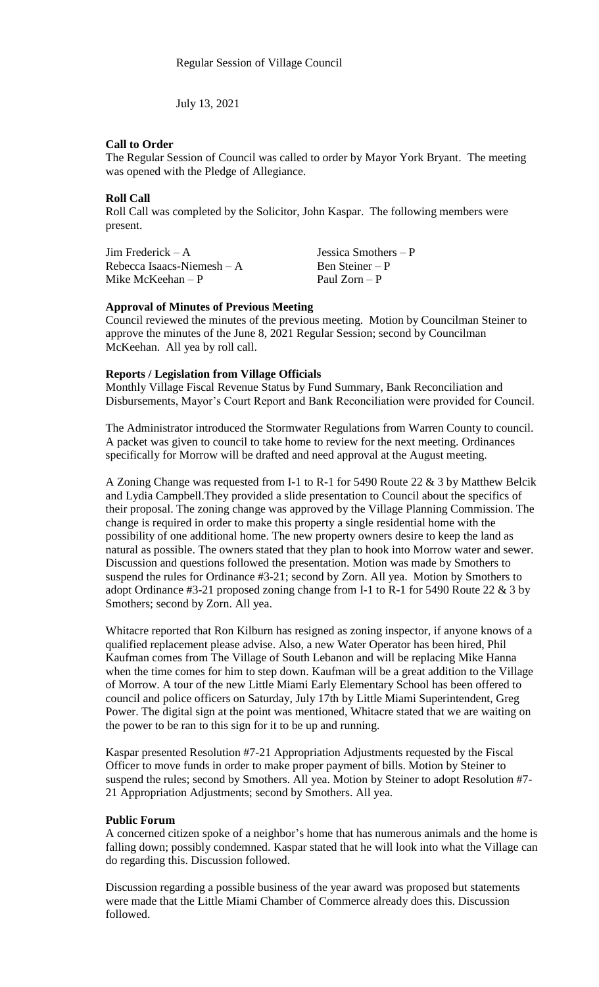July 13, 2021

# **Call to Order**

The Regular Session of Council was called to order by Mayor York Bryant. The meeting was opened with the Pledge of Allegiance.

# **Roll Call**

Roll Call was completed by the Solicitor, John Kaspar. The following members were present.

Jim Frederick – A<br>Rebecca Isaacs-Niemesh – A<br>Ben Steiner – P  $Rebecca$  Isaacs-Niemesh – A Mike McKeehan – P Paul Zorn – P

## **Approval of Minutes of Previous Meeting**

Council reviewed the minutes of the previous meeting. Motion by Councilman Steiner to approve the minutes of the June 8, 2021 Regular Session; second by Councilman McKeehan. All yea by roll call.

## **Reports / Legislation from Village Officials**

Monthly Village Fiscal Revenue Status by Fund Summary, Bank Reconciliation and Disbursements, Mayor's Court Report and Bank Reconciliation were provided for Council.

The Administrator introduced the Stormwater Regulations from Warren County to council. A packet was given to council to take home to review for the next meeting. Ordinances specifically for Morrow will be drafted and need approval at the August meeting.

A Zoning Change was requested from I-1 to R-1 for 5490 Route 22 & 3 by Matthew Belcik and Lydia Campbell.They provided a slide presentation to Council about the specifics of their proposal. The zoning change was approved by the Village Planning Commission. The change is required in order to make this property a single residential home with the possibility of one additional home. The new property owners desire to keep the land as natural as possible. The owners stated that they plan to hook into Morrow water and sewer. Discussion and questions followed the presentation. Motion was made by Smothers to suspend the rules for Ordinance #3-21; second by Zorn. All yea. Motion by Smothers to adopt Ordinance #3-21 proposed zoning change from I-1 to R-1 for 5490 Route 22 & 3 by Smothers; second by Zorn. All yea.

Whitacre reported that Ron Kilburn has resigned as zoning inspector, if anyone knows of a qualified replacement please advise. Also, a new Water Operator has been hired, Phil Kaufman comes from The Village of South Lebanon and will be replacing Mike Hanna when the time comes for him to step down. Kaufman will be a great addition to the Village of Morrow. A tour of the new Little Miami Early Elementary School has been offered to council and police officers on Saturday, July 17th by Little Miami Superintendent, Greg Power. The digital sign at the point was mentioned, Whitacre stated that we are waiting on the power to be ran to this sign for it to be up and running.

Kaspar presented Resolution #7-21 Appropriation Adjustments requested by the Fiscal Officer to move funds in order to make proper payment of bills. Motion by Steiner to suspend the rules; second by Smothers. All yea. Motion by Steiner to adopt Resolution #7- 21 Appropriation Adjustments; second by Smothers. All yea.

## **Public Forum**

A concerned citizen spoke of a neighbor's home that has numerous animals and the home is falling down; possibly condemned. Kaspar stated that he will look into what the Village can do regarding this. Discussion followed.

Discussion regarding a possible business of the year award was proposed but statements were made that the Little Miami Chamber of Commerce already does this. Discussion followed.